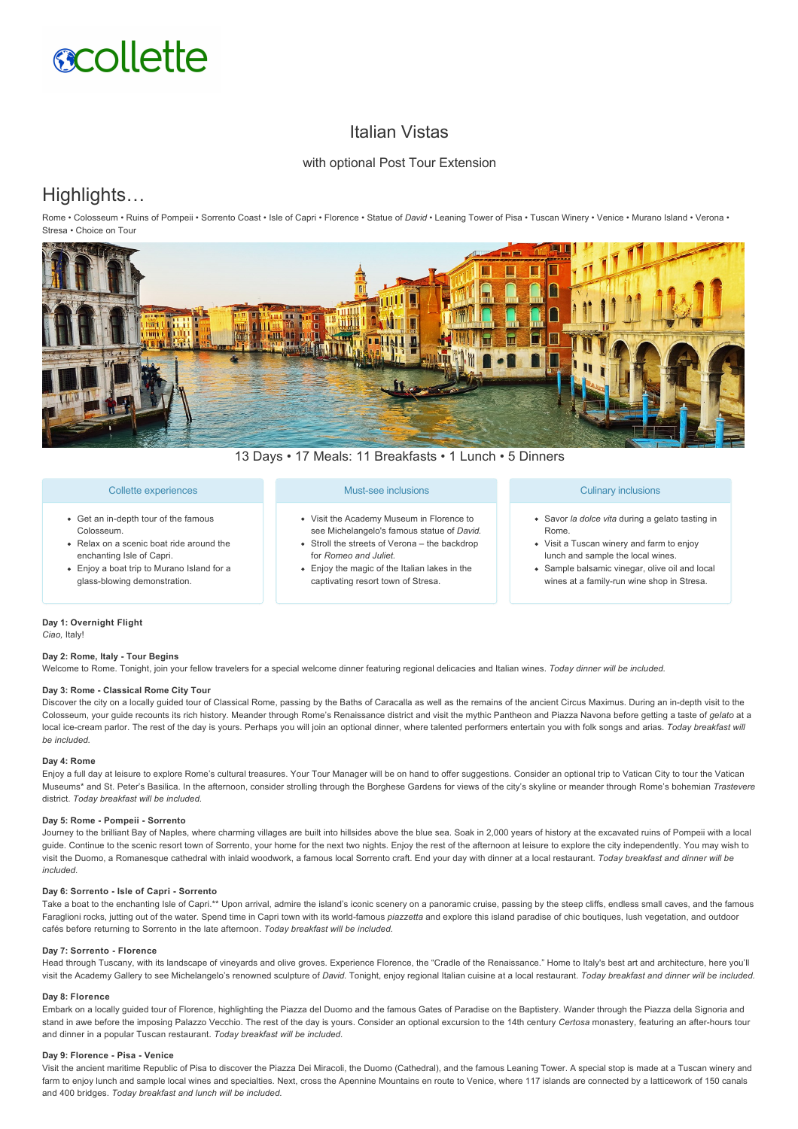# **scollette**

# Italian Vistas

# with optional Post Tour Extension

# Highlights…

Rome • Colosseum • Ruins of Pompeii • Sorrento Coast • Isle of Capri • Florence • Statue of *David* • Leaning Tower of Pisa • Tuscan Winery • Venice • Murano Island • Verona • Stresa • Choice on Tour



13 Days • 17 Meals: 11 Breakfasts • 1 Lunch • 5 Dinners

# Collette experiences

- Get an in-depth tour of the famous Colosseum.
- Relax on a scenic boat ride around the enchanting Isle of Capri.
- Enjoy a boat trip to Murano Island for a glass-blowing demonstration.

# Must-see inclusions

- Visit the Academy Museum in Florence to see Michelangelo's famous statue of *David.* • Stroll the streets of Verona – the backdrop
- for *Romeo and Juliet.* Enjoy the magic of the Italian lakes in the
- captivating resort town of Stresa.

# Culinary inclusions

- Savor *la dolce vita* during a gelato tasting in Rome.
- Visit a Tuscan winery and farm to enjoy lunch and sample the local wines.
- Sample balsamic vinegar, olive oil and local wines at a family-run wine shop in Stresa.

# **Day 1: Overnight Flight**

*Ciao,* Italy!

# **Day 2: Rome, Italy Tour Begins**

Welcome to Rome. Tonight, join your fellow travelers for a special welcome dinner featuring regional delicacies and Italian wines. *Today dinner will be included.*

#### **Day 3: Rome Classical Rome City Tour**

Discover the city on a locally guided tour of Classical Rome, passing by the Baths of Caracalla as well as the remains of the ancient Circus Maximus. During an indepth visit to the Colosseum, your quide recounts its rich history. Meander through Rome's Renaissance district and visit the mythic Pantheon and Piazza Navona before getting a taste of *gelato* at a local ice-cream parlor. The rest of the day is yours. Perhaps you will join an optional dinner, where talented performers entertain you with folk songs and arias. Today breakfast will *be included.*

#### **Day 4: Rome**

Enjoy a full day at leisure to explore Rome's cultural treasures. Your Tour Manager will be on hand to offer suggestions. Consider an optional trip to Vatican City to tour the Vatican Museums\* and St. Peter's Basilica. In the afternoon, consider strolling through the Borghese Gardens for views of the city's skyline or meander through Rome's bohemian *Trastevere* district. *Today breakfast will be included.*

#### Day 5: Rome - Pompeii - Sorrento

Journey to the brilliant Bay of Naples, where charming villages are built into hillsides above the blue sea. Soak in 2,000 years of history at the excavated ruins of Pompeii with a local guide. Continue to the scenic resort town of Sorrento, your home for the next two nights. Enjoy the rest of the afternoon at leisure to explore the city independently. You may wish to visit the Duomo, a Romanesque cathedral with inlaid woodwork, a famous local Sorrento craft. End your day with dinner at a local restaurant. *Today breakfast and dinner will be included.*

#### Day 6: Sorrento - Isle of Capri - Sorrento

Take a boat to the enchanting Isle of Capri.\*\* Upon arrival, admire the island's iconic scenery on a panoramic cruise, passing by the steep cliffs, endless small caves, and the famous Faraglioni rocks, jutting out of the water. Spend time in Capri town with its world-famous piazzetta and explore this island paradise of chic boutiques, lush vegetation, and outdoor cafés before returning to Sorrento in the late afternoon. *Today breakfast will be included.*

#### **Day 7: Sorrento Florence**

Head through Tuscany, with its landscape of vineyards and olive groves. Experience Florence, the "Cradle of the Renaissance." Home to Italy's best art and architecture, here you'll visit the Academy Gallery to see Michelangelo's renowned sculpture of *David.* Tonight, enjoy regional Italian cuisine at a local restaurant. *Today breakfast and dinner will be included.*

#### **Day 8: Florence**

Embark on a locally guided tour of Florence, highlighting the Piazza del Duomo and the famous Gates of Paradise on the Baptistery. Wander through the Piazza della Signoria and stand in awe before the imposing Palazzo Vecchio. The rest of the day is yours. Consider an optional excursion to the 14th century *Certosa* monastery, featuring an afterhours tour and dinner in a popular Tuscan restaurant. *Today breakfast will be included.*

## Day 9: Florence - Pisa - Venice

Visit the ancient maritime Republic of Pisa to discover the Piazza Dei Miracoli, the Duomo (Cathedral), and the famous Leaning Tower. A special stop is made at a Tuscan winery and farm to enjoy lunch and sample local wines and specialties. Next, cross the Apennine Mountains en route to Venice, where 117 islands are connected by a latticework of 150 canals and 400 bridges. *Today breakfast and lunch will be included.*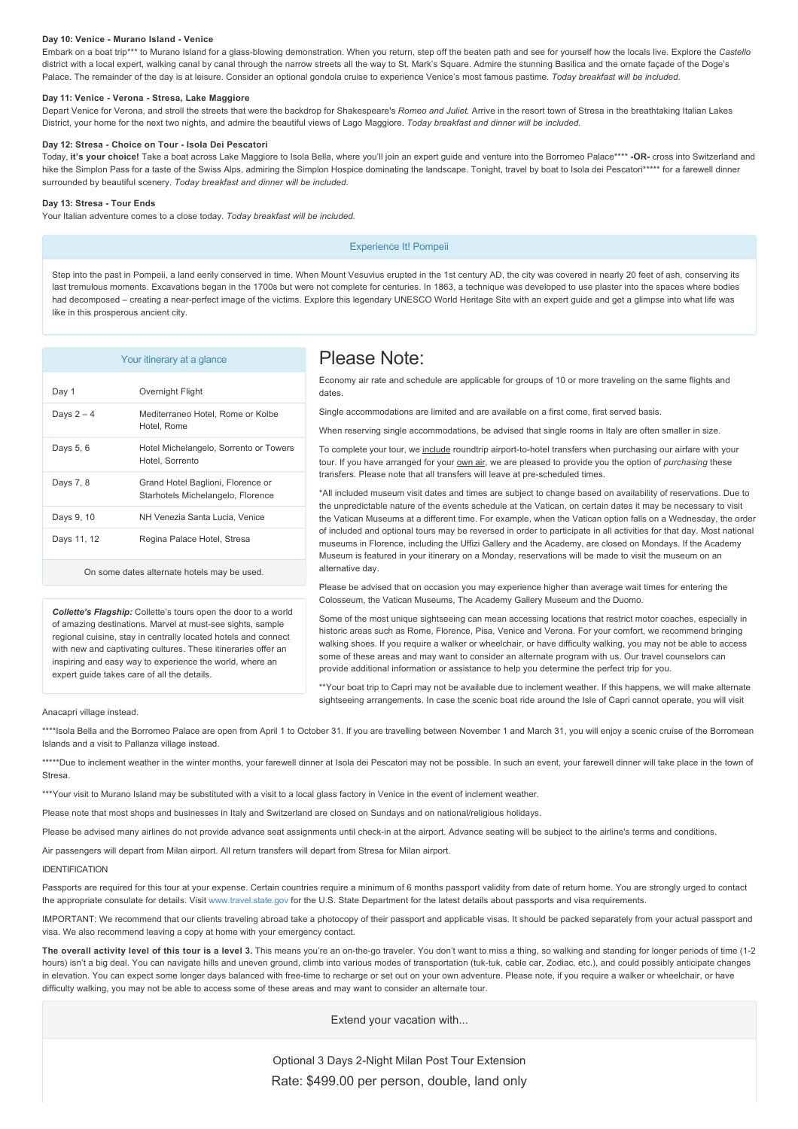#### Day 10: Venice - Murano Island - Venice

Embark on a boat trip<sup>\*\*\*</sup> to Murano Island for a glass-blowing demonstration. When you return, step off the beaten path and see for yourself how the locals live. Explore the Castello district with a local expert, walking canal by canal through the narrow streets all the way to St. Mark's Square. Admire the stunning Basilica and the ornate façade of the Doge's Palace. The remainder of the day is at leisure. Consider an optional gondola cruise to experience Venice's most famous pastime. *Today breakfast will be included.*

#### Day 11: Venice - Verona - Stresa, Lake Maggiore

Depart Venice for Verona, and stroll the streets that were the backdrop for Shakespeare's *Romeo and Juliet.* Arrive in the resort town of Stresa in the breathtaking Italian Lakes District, your home for the next two nights, and admire the beautiful views of Lago Maggiore. *Today breakfast and dinner will be included.*

#### **Day 12: Stresa Choice on Tour Isola Dei Pescatori**

Today, **it's your choice!** Take a boat across Lake Maggiore to Isola Bella, where you'll join an expert guide and venture into the Borromeo Palace\*\*\*\* **OR** cross into Switzerland and hike the Simplon Pass for a taste of the Swiss Alps, admiring the Simplon Hospice dominating the landscape. Tonight, travel by boat to Isola dei Pescatori\*\*\*\*\* for a farewell dinner surrounded by beautiful scenery. *Today breakfast and dinner will be included.*

#### **Day 13: Stresa Tour Ends**

Your Italian adventure comes to a close today. *Today breakfast will be included.*

Experience It! Pompeii

Step into the past in Pompeii, a land eerily conserved in time. When Mount Vesuvius erupted in the 1st century AD, the city was covered in nearly 20 feet of ash, conserving its last tremulous moments. Excavations began in the 1700s but were not complete for centuries. In 1863, a technique was developed to use plaster into the spaces where bodies had decomposed - creating a near-perfect image of the victims. Explore this legendary UNESCO World Heritage Site with an expert guide and get a glimpse into what life was like in this prosperous ancient city.

| Your itinerary at a glance                  |                                                                        |
|---------------------------------------------|------------------------------------------------------------------------|
| Day 1                                       | Overnight Flight                                                       |
| Days $2-4$                                  | Mediterraneo Hotel, Rome or Kolbe<br>Hotel, Rome                       |
| Days 5, 6                                   | Hotel Michelangelo, Sorrento or Towers<br>Hotel, Sorrento              |
| Days 7, 8                                   | Grand Hotel Baglioni, Florence or<br>Starhotels Michelangelo, Florence |
| Days 9, 10                                  | NH Venezia Santa Lucia. Venice                                         |
| Days 11, 12                                 | Regina Palace Hotel, Stresa                                            |
| On some dates alternate hotels may be used. |                                                                        |

*Collette's Flagship:* Collette's tours open the door to a world of amazing destinations. Marvel at must-see sights, sample regional cuisine, stay in centrally located hotels and connect with new and captivating cultures. These itineraries offer an inspiring and easy way to experience the world, where an expert guide takes care of all the details.

# Please Note:

Economy air rate and schedule are applicable for groups of 10 or more traveling on the same flights and dates.

Single accommodations are limited and are available on a first come, first served basis.

When reserving single accommodations, be advised that single rooms in Italy are often smaller in size.

To complete your tour, we include roundtrip airport-to-hotel transfers when purchasing our airfare with your tour. If you have arranged for your **own air**, we are pleased to provide you the option of *purchasing* these transfers. Please note that all transfers will leave at pre-scheduled times.

\*All included museum visit dates and times are subject to change based on availability of reservations. Due to the unpredictable nature of the events schedule at the Vatican, on certain dates it may be necessary to visit the Vatican Museums at a different time. For example, when the Vatican option falls on a Wednesday, the order of included and optional tours may be reversed in order to participate in all activities for that day. Most national museums in Florence, including the Uffizi Gallery and the Academy, are closed on Mondays. If the Academy Museum is featured in your itinerary on a Monday, reservations will be made to visit the museum on an alternative day.

Please be advised that on occasion you may experience higher than average wait times for entering the Colosseum, the Vatican Museums, The Academy Gallery Museum and the Duomo.

Some of the most unique sightseeing can mean accessing locations that restrict motor coaches, especially in historic areas such as Rome, Florence, Pisa, Venice and Verona. For your comfort, we recommend bringing walking shoes. If you require a walker or wheelchair, or have difficulty walking, you may not be able to access some of these areas and may want to consider an alternate program with us. Our travel counselors can provide additional information or assistance to help you determine the perfect trip for you.

\*\*Your boat trip to Capri may not be available due to inclement weather. If this happens, we will make alternate sightseeing arrangements. In case the scenic boat ride around the Isle of Capri cannot operate, you will visit

#### Anacapri village instead.

\*\*\*\*Isola Bella and the Borromeo Palace are open from April 1 to October 31. If you are travelling between November 1 and March 31, you will enjoy a scenic cruise of the Borromean Islands and a visit to Pallanza village instead.

\*\*\*\*\*Due to inclement weather in the winter months, your farewell dinner at Isola dei Pescatori may not be possible. In such an event, your farewell dinner will take place in the town of Stresa.

\*\*\*Your visit to Murano Island may be substituted with a visit to a local glass factory in Venice in the event of inclement weather.

Please note that most shops and businesses in Italy and Switzerland are closed on Sundays and on national/religious holidays.

Please be advised many airlines do not provide advance seat assignments until check-in at the airport. Advance seating will be subiect to the airline's terms and conditions.

Air passengers will depart from Milan airport. All return transfers will depart from Stresa for Milan airport.

#### IDENTIFICATION

Passports are required for this tour at your expense. Certain countries require a minimum of 6 months passport validity from date of return home. You are strongly urged to contact the appropriate consulate for details. Visit [www.travel.state.gov](https://itinerary.collette.com/Documents/Flyer/13451/USD/www.travel.state.gov) for the U.S. State Department for the latest details about passports and visa requirements.

IMPORTANT: We recommend that our clients traveling abroad take a photocopy of their passport and applicable visas. It should be packed separately from your actual passport and visa. We also recommend leaving a copy at home with your emergency contact.

The overall activity level of this tour is a level 3. This means you're an on-the-go traveler. You don't want to miss a thing, so walking and standing for longer periods of time (1-2 hours) isn't a big deal. You can navigate hills and uneven ground, climb into various modes of transportation (tuk-tuk, cable car, Zodiac, etc.), and could possibly anticipate changes in elevation. You can expect some longer days balanced with free-time to recharge or set out on your own adventure. Please note, if you require a walker or wheelchair, or have difficulty walking, you may not be able to access some of these areas and may want to consider an alternate tour.

Extend your vacation with...

Optional 3 Days 2-Night Milan Post Tour Extension Rate: \$499.00 per person, double, land only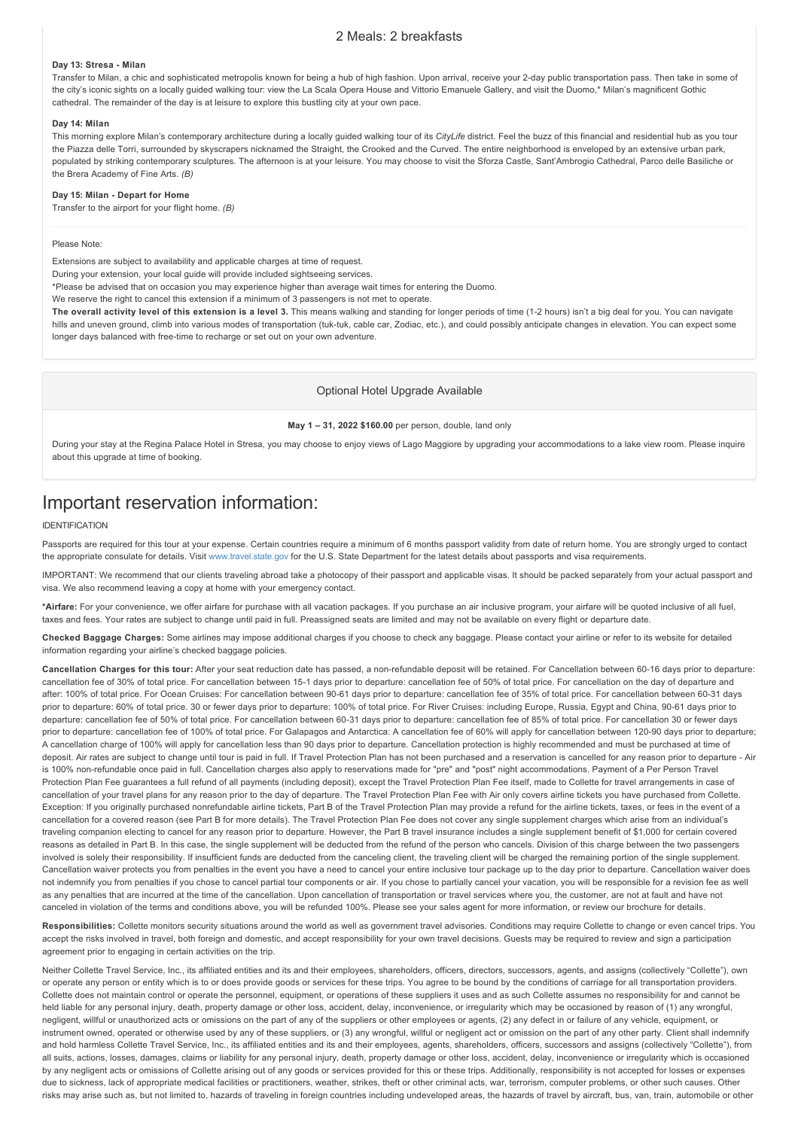# 2 Meals: 2 breakfasts

#### Day 13: Stresa - Milan

Transfer to Milan, a chic and sophisticated metropolis known for being a hub of high fashion. Upon arrival, receive your 2-day public transportation pass. Then take in some of the city's iconic sights on a locally guided walking tour: view the La Scala Opera House and Vittorio Emanuele Gallery, and visit the Duomo,\* Milan's magnificent Gothic cathedral. The remainder of the day is at leisure to explore this bustling city at your own pace.

#### **Day 14: Milan**

This morning explore Milan's contemporary architecture during a locally guided walking tour of its *CityLife* district. Feel the buzz of this financial and residential hub as you tour the Piazza delle Torri, surrounded by skyscrapers nicknamed the Straight, the Crooked and the Curved. The entire neighborhood is enveloped by an extensive urban park, populated by striking contemporary sculptures. The afternoon is at your leisure. You may choose to visit the Sforza Castle, Sant'Ambrogio Cathedral, Parco delle Basiliche or the Brera Academy of Fine Arts. *(B)*

#### **Day 15: Milan - Depart for Home**

Transfer to the airport for your flight home. *(B)*

#### Please Note:

Extensions are subject to availability and applicable charges at time of request.

During your extension, your local guide will provide included sightseeing services.

\*Please be advised that on occasion you may experience higher than average wait times for entering the Duomo.

We reserve the right to cancel this extension if a minimum of 3 passengers is not met to operate.

**The overall activity level of this extension is a level 3.** This means walking and standing for longer periods of time (12 hours) isn't a big deal for you. You can navigate hills and uneven ground, climb into various modes of transportation (tuk-tuk, cable car, Zodiac, etc.), and could possibly anticipate changes in elevation. You can expect some longer days balanced with free-time to recharge or set out on your own adventure.

## Optional Hotel Upgrade Available

#### **May 1 – 31, 2022 \$160.00** per person, double, land only

During your stay at the Regina Palace Hotel in Stresa, you may choose to enjoy views of Lago Maggiore by upgrading your accommodations to a lake view room. Please inquire about this upgrade at time of booking.

# Important reservation information:

#### IDENTIFICATION

Passports are required for this tour at your expense. Certain countries require a minimum of 6 months passport validity from date of return home. You are strongly urged to contact the appropriate consulate for details. Visit [www.travel.state.gov](https://itinerary.collette.com/Documents/Flyer/13451/USD/www.travel.state.gov) for the U.S. State Department for the latest details about passports and visa requirements.

IMPORTANT: We recommend that our clients traveling abroad take a photocopy of their passport and applicable visas. It should be packed separately from your actual passport and visa. We also recommend leaving a copy at home with your emergency contact.

**\*Airfare:** For your convenience, we offer airfare for purchase with all vacation packages. If you purchase an air inclusive program, your airfare will be quoted inclusive of all fuel, taxes and fees. Your rates are subject to change until paid in full. Preassigned seats are limited and may not be available on every flight or departure date.

**Checked Baggage Charges:** Some airlines may impose additional charges if you choose to check any baggage. Please contact your airline or refer to its website for detailed information regarding your airline's checked baggage policies.

Cancellation Charges for this tour: After your seat reduction date has passed, a non-refundable deposit will be retained. For Cancellation between 60-16 days prior to departure: cancellation fee of 30% of total price. For cancellation between 15-1 days prior to departure: cancellation fee of 50% of total price. For cancellation on the day of departure and after: 100% of total price. For Ocean Cruises: For cancellation between 9061 days prior to departure: cancellation fee of 35% of total price. For cancellation between 6031 days prior to departure: 60% of total price. 30 or fewer days prior to departure: 100% of total price. For River Cruises: including Europe, Russia, Egypt and China, 90-61 days prior to departure: cancellation fee of 50% of total price. For cancellation between 60-31 days prior to departure: cancellation fee of 85% of total price. For cancellation 30 or fewer days prior to departure: cancellation fee of 100% of total price. For Galapagos and Antarctica: A cancellation fee of 60% will apply for cancellation between 120-90 days prior to departure; A cancellation charge of 100% will apply for cancellation less than 90 days prior to departure. Cancellation protection is highly recommended and must be purchased at time of deposit. Air rates are subject to change until tour is paid in full. If Travel Protection Plan has not been purchased and a reservation is cancelled for any reason prior to departure - Air is 100% nonrefundable once paid in full. Cancellation charges also apply to reservations made for "pre" and "post" night accommodations. Payment of a Per Person Travel Protection Plan Fee quarantees a full refund of all payments (including deposit), except the Travel Protection Plan Fee itself, made to Collette for travel arrangements in case of cancellation of your travel plans for any reason prior to the day of departure. The Travel Protection Plan Fee with Air only covers airline tickets you have purchased from Collette. Exception: If you originally purchased nonrefundable airline tickets, Part B of the Travel Protection Plan may provide a refund for the airline tickets, taxes, or fees in the event of a cancellation for a covered reason (see Part B for more details). The Travel Protection Plan Fee does not cover any single supplement charges which arise from an individual's traveling companion electing to cancel for any reason prior to departure. However, the Part B travel insurance includes a single supplement benefit of \$1,000 for certain covered reasons as detailed in Part B. In this case, the single supplement will be deducted from the refund of the person who cancels. Division of this charge between the two passengers involved is solely their responsibility. If insufficient funds are deducted from the canceling client, the traveling client will be charged the remaining portion of the single supplement. Cancellation waiver protects you from penalties in the event you have a need to cancel your entire inclusive tour package up to the day prior to departure. Cancellation waiver does not indemnify you from penalties if you chose to cancel partial tour components or air. If you chose to partially cancel your vacation, you will be responsible for a revision fee as well as any penalties that are incurred at the time of the cancellation. Upon cancellation of transportation or travel services where you, the customer, are not at fault and have not canceled in violation of the terms and conditions above, you will be refunded 100%. Please see your sales agent for more information, or review our brochure for details.

Responsibilities: Collette monitors security situations around the world as well as government travel advisories. Conditions may require Collette to change or even cancel trips. You accept the risks involved in travel, both foreign and domestic, and accept responsibility for your own travel decisions. Guests may be required to review and sign a participation agreement prior to engaging in certain activities on the trip.

Neither Collette Travel Service, Inc., its affiliated entities and its and their employees, shareholders, officers, directors, successors, agents, and assigns (collectively "Collette"), own or operate any person or entity which is to or does provide goods or services for these trips. You agree to be bound by the conditions of carriage for all transportation providers. Collette does not maintain control or operate the personnel, equipment, or operations of these suppliers it uses and as such Collette assumes no responsibility for and cannot be held liable for any personal injury, death, property damage or other loss, accident, delay, inconvenience, or irregularity which may be occasioned by reason of (1) any wrongful, negligent, willful or unauthorized acts or omissions on the part of any of the suppliers or other employees or agents, (2) any defect in or failure of any vehicle, equipment, or instrument owned, operated or otherwise used by any of these suppliers, or (3) any wrongful, willful or negligent act or omission on the part of any other party. Client shall indemnify and hold harmless Collette Travel Service, Inc., its affiliated entities and its and their employees, agents, shareholders, officers, successors and assigns (collectively "Collette"), from all suits, actions, losses, damages, claims or liability for any personal injury, death, property damage or other loss, accident, delay, inconvenience or irregularity which is occasioned by any negligent acts or omissions of Collette arising out of any goods or services provided for this or these trips. Additionally, responsibility is not accepted for losses or expenses due to sickness, lack of appropriate medical facilities or practitioners, weather, strikes, theft or other criminal acts, war, terrorism, computer problems, or other such causes. Other risks may arise such as, but not limited to, hazards of traveling in foreign countries including undeveloped areas, the hazards of travel by aircraft, bus, van, train, automobile or other